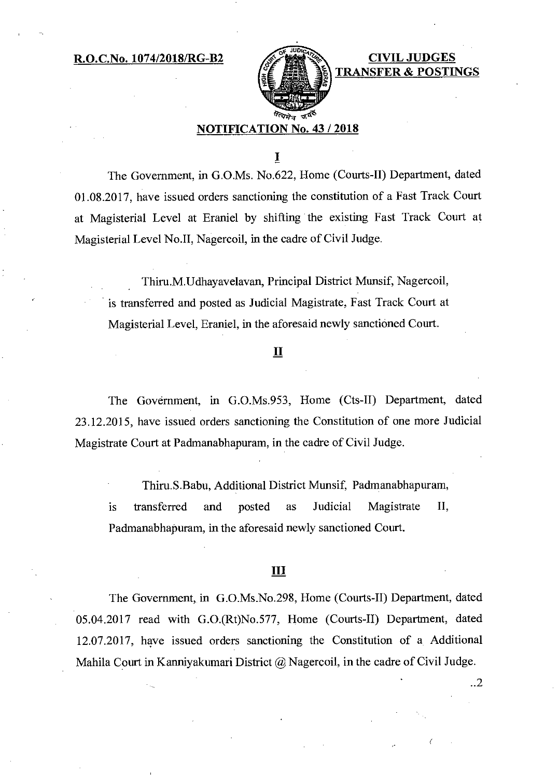**R.O.C.No. 1074/2018/RG-B2 CIVIL JUDGES** 



**TRANSFER & PO** 

## **NOTIFICATION No. 43 / 2018**

I

The Government, in G.O.Ms. No.622, Home (Courts-II) Department, dated 01.08.2017, have issued orders sanctioning the constitution of a Fast Track Court at Magisterial Level at Eraniel by shifting the existing Fast Track Court at Magisterial Level No.II, Nagercoil, in the cadre of Civil Judge.

Thiru.M.Udhayavelavan, Principal District Munsif, Nagercoil, is transferred and posted as Judicial Magistrate, Fast Track Court at Magisterial Level, Eraniel, in the aforesaid newly sanctioned Court.

### **II**

The Government, in G.O.Ms.953, Home (Cts-II) Department, dated 23.12.2015, have issued orders sanctioning the Constitution of one more Judicial Magistrate Court at Padmanabhapuram, in the cadre of Civil Judge.

Thiru.S.Babu, Additional District Munsif, Padmanabhapuram, is transferred and posted as Judicial Magistrate II, Padmanabhapuram, in the aforesaid newly sanctioned Court.

### **III**

The Government, in G.O.Ms.No.298, Home (Courts-II) Department, dated 05.04.2017 read with G.O.(Rt)No.577, Home (Courts-II) Department, dated 12.07.2017, have issued orders sanctioning the Constitution of a Additional Mahila Court in Kanniyakumari District @ Nagercoil, in the cadre of Civil Judge.

..2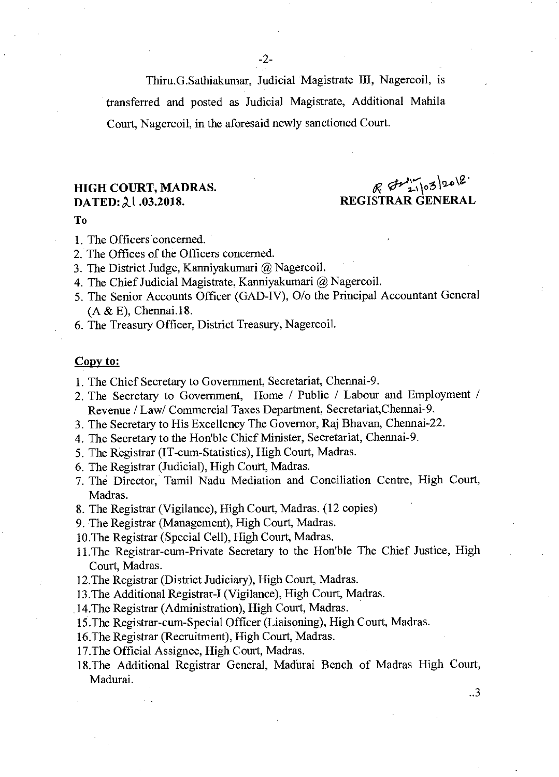Thiru.G.Sathiakumar, Judicial Magistrate III, Nagercoil, is transferred and posted as Judicial Magistrate, Additional Mahila Court, Nagercoil, in the aforesaid newly sanctioned Court.

# **HIGH COURT, MADRAS.**

**HIGH COURT, MADRAS.**  $\mathbb{R}$   $\mathbb{C}^{11}$   $\mathbb{C}^{32}$   $\mathbb{R}^{6}$   $\mathbb{C}^{11}$   $\mathbb{C}^{32}$   $\mathbb{R}^{6}$  REGISTRAR GENERAL

..3

#### **To**

- 1. The Officers concerned.
- 2. The Offices of the Officers concerned.
- 3. The District Judge, Kanniyakumari @ Nagercoil.
- 4. The Chief Judicial Magistrate, Kanniyakumari @ Nagercoil.
- 5. The Senior Accounts Officer (GAD-IV), 0/o the Principal Accountant General (A & E), Chennai.18.
- 6. The Treasury Officer, District Treasury, Nagercoil.

### **Copy to:**

- 1. The Chief Secretary to Government, Secretariat, Chennai-9.
- 2. The Secretary to Government, Home / Public / Labour and Employment / Revenue / Law/ Commercial Taxes Department, Secretariat,Chennai-9.
- 3. The Secretary to His Excellency The Governor, Raj Bhavan, Chennai-22.
- 4. The Secretary to the Hon'ble Chief Minister, Secretariat, Chennai-9.
- 5. The Registrar (IT-cum-Statistics), High Court, Madras.
- 6. The Registrar (Judicial), High Court, Madras.
- 7. The Director, Tamil Nadu Mediation and Conciliation Centre, High Court, Madras.
- 8. The Registrar (Vigilance), High Court, Madras. (12 copies)
- 9. The Registrar (Management), High Court, Madras.
- 10.The Registrar (Special Cell), High Court, Madras.
- 11.The Registrar-cum-Private Secretary to the Hon'ble The Chief Justice, High Court, Madras.
- 12.The Registrar (District Judiciary), High Court, Madras.
- 13.The Additional Registrar-I (Vigilance), High Court, Madras.
- 14.The Registrar (Administration), High Court, Madras.
- 15.The Registrar-cum-Special Officer (Liaisoning), High Court, Madras.
- 16.The Registrar (Recruitment), High Court, Madras.
- 17.The Official Assignee, High Court, Madras.
- 18.The Additional Registrar General, Madurai Bench of Madras High Court, Madurai.